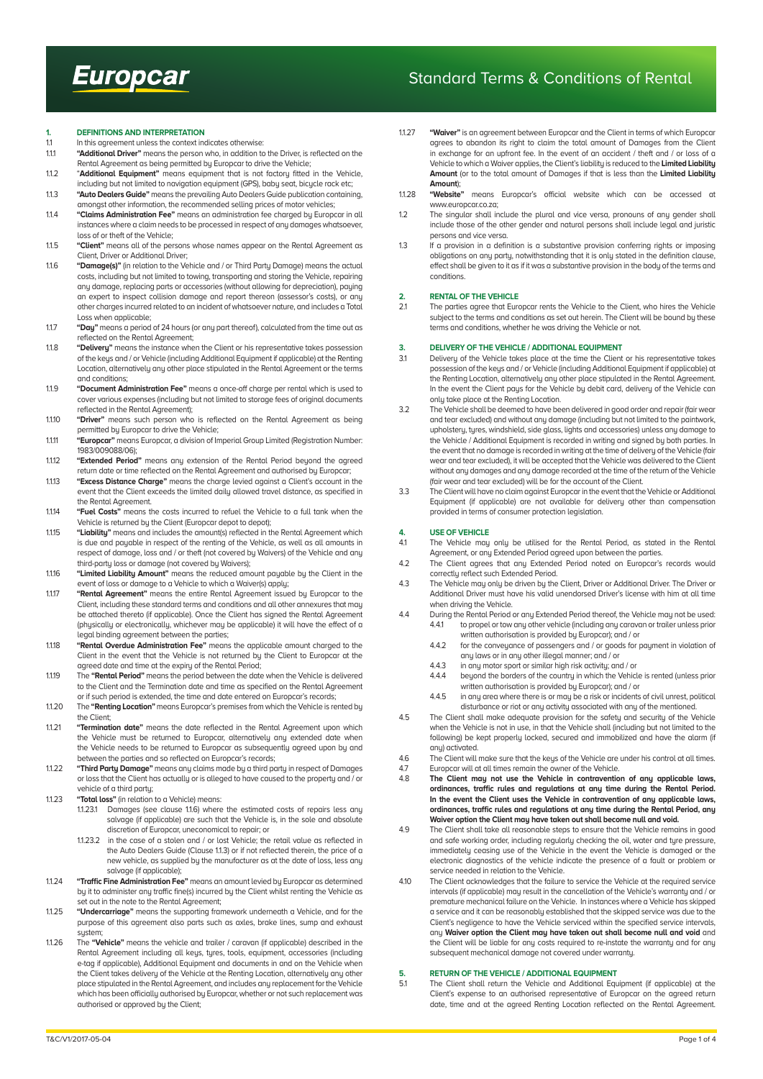

### Standard Terms & Conditions of Rental

- **1. DEFINITIONS AND INTERPRETATION**
- 1.1 In this agreement unless the context indicates otherwise:
- 1.1.1 **"Additional Driver"** means the person who, in addition to the Driver, is reflected on the Rental Agreement as being permitted by Europcar to drive the Vehicle; 1.1.2 "**Additional Equipment"** means equipment that is not factory fitted in the Vehicle,
- including but not limited to navigation equipment (GPS), baby seat, bicycle rack etc; 1.1.3 **"Auto Dealers Guide"** means the prevailing Auto Dealers Guide publication containing,
- amongst other information, the recommended selling prices of motor vehicles; 1.1.4 **"Claims Administration Fee"** means an administration fee charged by Europcar in all
- instances where a claim needs to be processed in respect of any damages whatsoever, loss of or theft of the Vehicle;
- 1.1.5 **"Client"** means all of the persons whose names appear on the Rental Agreement as Client, Driver or Additional Driver;
- 1.1.6 **"Damage(s)"** (in relation to the Vehicle and / or Third Party Damage) means the actual costs, including but not limited to towing, transporting and storing the Vehicle, repairing any damage, replacing parts or accessories (without allowing for depreciation), paying an expert to inspect collision damage and report thereon (assessor's costs), or any other charges incurred related to an incident of whatsoever nature, and includes a Total Loss when applicable;
- 1.1.7 **"Day"** means a period of 24 hours (or any part thereof), calculated from the time out as reflected on the Rental Agreement;
- 1.1.8 **"Delivery"** means the instance when the Client or his representative takes possession of the keys and / or Vehicle (including Additional Equipment if applicable) at the Renting Location, alternatively any other place stipulated in the Rental Agreement or the terms and conditions;
- 1.1.9 **"Document Administration Fee"** means a once-off charge per rental which is used to cover various expenses (including but not limited to storage fees of original documents reflected in the Rental Agreement);
- 1.1.10 **"Driver"** means such person who is reflected on the Rental Agreement as being
- permitted by Europcar to drive the Vehicle; 1.1.11 **"Europcar"** means Europcar, a division of Imperial Group Limited (Registration Number: 1983/009088/06);
- 1.1.12 **"Extended Period"** means any extension of the Rental Period beyond the agreed return date or time reflected on the Rental Agreement and authorised by Europcar;
- 1.1.13 **"Excess Distance Charge"** means the charge levied against a Client's account in the event that the Client exceeds the limited daily allowed travel distance, as specified in the Rental Agreement
- 1.1.14 **"Fuel Costs"** means the costs incurred to refuel the Vehicle to a full tank when the Vehicle is returned by the Client (Europcar depot to depot);
- 1.1.15 **"Liability"** means and includes the amount(s) reflected in the Rental Agreement which is due and payable in respect of the renting of the Vehicle, as well as all amounts in respect of damage, loss and / or theft (not covered by Waivers) of the Vehicle and any third-party loss or damage (not covered by Waivers);
- 1.1.16 **"Limited Liability Amount"** means the reduced amount payable by the Client in the event of loss or damage to a Vehicle to which a Waiver(s) apply;
- 1.1.17 **"Rental Agreement"** means the entire Rental Agreement issued by Europcar to the Client, including these standard terms and conditions and all other annexures that may be attached thereto (if applicable). Once the Client has signed the Rental Agreement (physically or electronically, whichever may be applicable) it will have the effect of a legal binding agreement between the parties;
- 1.1.18 **"Rental Overdue Administration Fee"** means the applicable amount charged to the Client in the event that the Vehicle is not returned by the Client to Europcar at the agreed date and time at the expiry of the Rental Period;
- 1.1.19 The **"Rental Period"** means the period between the date when the Vehicle is delivered to the Client and the Termination date and time as specified on the Rental Agreement or if such period is extended, the time and date entered on Europcar's records;
- 1.1.20 The **"Renting Location"** means Europcar's premises from which the Vehicle is rented by the Client;
- 1.1.21 **"Termination date"** means the date reflected in the Rental Agreement upon which the Vehicle must be returned to Europcar, alternatively any extended date when the Vehicle needs to be returned to Europcar as subsequently agreed upon by and between the parties and so reflected on Europcar's records;
- 1.1.22 **"Third Party Damage"** means any claims made by a third party in respect of Damages or loss that the Client has actually or is alleged to have caused to the property and / or vehicle of a third party;
- 1.1.23 **"Total loss"** (in relation to a Vehicle) means:
	- 1.1.1.23.1 Constant the control of the stimated costs of repairs less any Damages (see clause 1.1.6) where the estimated costs of repairs less any salvage (if applicable) are such that the Vehicle is, in the sole and absolute discretion of Europcar, uneconomical to repair; or
	- 1.1.23.2 in the case of a stolen and / or lost Vehicle; the retail value as reflected in the Auto Dealers Guide (Clause 1.1.3) or if not reflected therein, the price of a new vehicle, as supplied by the manufacturer as at the date of loss, less any salvage (if applicable);
- 1.1.24 **"Traffic Fine Administration Fee"** means an amount levied by Europcar as determined by it to administer any traffic fine(s) incurred by the Client whilst renting the Vehicle as set out in the note to the Rental Agreement;
- 1.1.25 **"Undercarriage"** means the supporting framework underneath a Vehicle, and for the purpose of this agreement also parts such as axles, brake lines, sump and exhaust sustem:
- 1.1.26 The **"Vehicle"** means the vehicle and trailer / caravan (if applicable) described in the Rental Agreement including all keys, tyres, tools, equipment, accessories (including e-tag if applicable), Additional Equipment and documents in and on the Vehicle when the Client takes delivery of the Vehicle at the Renting Location, alternatively any other place stipulated in the Rental Agreement, and includes any replacement for the Vehicle which has been officially authorised by Europcar, whether or not such replacement was authorised or approved by the Client;
- 1.1.27 **"Waiver"** is an agreement between Europcar and the Client in terms of which Europcar agrees to abandon its right to claim the total amount of Damages from the Client in exchange for an upfront fee. In the event of an accident / theft and / or loss of a Vehicle to which a Waiver applies, the Client's liability is reduced to the **Limited Liability Amount** (or to the total amount of Damages if that is less than the **Limited Liability Amount**);
- 1.1.28 **"Website"** means Europcar's official website which can be accessed at www.europcar.co.za;
- 1.2 The singular shall include the plural and vice versa, pronouns of any gender shall include those of the other gender and natural persons shall include legal and juristic persons and vice versa.
- 1.3 If a provision in a definition is a substantive provision conferring rights or imposing obligations on any party, notwithstanding that it is only stated in the definition clause, effect shall be given to it as if it was a substantive provision in the body of the terms and conditions.

### **2. RENTAL OF THE VEHICLE**

2.1 The parties agree that Europcar rents the Vehicle to the Client, who hires the Vehicle subject to the terms and conditions as set out herein. The Client will be bound by these terms and conditions, whether he was driving the Vehicle or not.

### **3. DELIVERY OF THE VEHICLE / ADDITIONAL EQUIPMENT**

- 3.1 Delivery of the Vehicle takes place at the time the Client or his representative takes possession of the keys and / or Vehicle (including Additional Equipment if applicable) at the Renting Location, alternatively any other place stipulated in the Rental Agreement. In the event the Client pays for the Vehicle by debit card, delivery of the Vehicle can only take place at the Renting Location.
- 3.2 The Vehicle shall be deemed to have been delivered in good order and repair (fair wear and tear excluded) and without any damage (including but not limited to the paintwork, upholstery, tyres, windshield, side glass, lights and accessories) unless any damage to the Vehicle / Additional Equipment is recorded in writing and signed by both parties. In the event that no damage is recorded in writing at the time of delivery of the Vehicle (fair wear and tear excluded), it will be accepted that the Vehicle was delivered to the Client without any damages and any damage recorded at the time of the return of the Vehicle (fair wear and tear excluded) will be for the account of the Client.
- 3.3 The Client will have no claim against Europcar in the event that the Vehicle or Additional Equipment (if applicable) are not available for delivery other than compensation provided in terms of consumer protection legislation.

### **4. USE OF VEHICLE**

- 4.1 The Vehicle may only be utilised for the Rental Period, as stated in the Rental Agreement, or any Extended Period agreed upon between the parties.
- 4.2 The Client agrees that any Extended Period noted on Europcar's records would correctly reflect such Extended Period.
- 4.3 The Vehicle may only be driven by the Client, Driver or Additional Driver. The Driver or Additional Driver must have his valid unendorsed Driver's license with him at all time when driving the Vehicle.
- 4.4 During the Rental Period or any Extended Period thereof, the Vehicle may not be used:<br>4.41 to propel or tow any other vehicle (including any caravan or trailer unless prior to propel or tow any other vehicle (including any caravan or trailer unless prior written authorisation is provided by Europcar); and / or
	- 4.4.2 for the conveyance of passengers and / or goods for payment in violation of any laws or in any other illegal manner; and / or
	- 4.4.3 in any motor sport or similar high risk activity; and / or
	- 4.4.4 beyond the borders of the country in which the Vehicle is rented (unless prior written authorisation is provided by Europcar); and / or
	- 4.4.5 in any area where there is or may be a risk or incidents of civil unrest, political disturbance or riot or any activity associated with any of the mentioned.
- 4.5 The Client shall make adequate provision for the safety and security of the Vehicle when the Vehicle is not in use, in that the Vehicle shall (including but not limited to the following) be kept properly locked, secured and immobilized and have the alarm (if any) activated.
- 4.6 The Client will make sure that the keys of the Vehicle are under his control at all times.
- 4.7 Europcar will at all times remain the owner of the Vehicle.<br>4.8 The Client may not use the Vehicle in contraventia 4.8 **The Client may not use the Vehicle in contravention of any applicable laws, ordinances, traffic rules and regulations at any time during the Rental Period. In the event the Client uses the Vehicle in contravention of any applicable laws, ordinances, traffic rules and regulations at any time during the Rental Period, any Waiver option the Client may have taken out shall become null and void.**
- 4.9 The Client shall take all reasonable steps to ensure that the Vehicle remains in good and safe working order, including regularly checking the oil, water and tyre pressure, immediately ceasing use of the Vehicle in the event the Vehicle is damaged or the electronic diagnostics of the vehicle indicate the presence of a fault or problem or service needed in relation to the Vehicle.
- 4.10 The Client acknowledges that the failure to service the Vehicle at the required service intervals (if applicable) may result in the cancellation of the Vehicle's warranty and / or premature mechanical failure on the Vehicle. In instances where a Vehicle has skipped a service and it can be reasonably established that the skipped service was due to the Client's negligence to have the Vehicle serviced within the specified service intervals, any **Waiver option the Client may have taken out shall become null and void** and the Client will be liable for any costs required to re-instate the warranty and for any subsequent mechanical damage not covered under warranty.

### **5. RETURN OF THE VEHICLE / ADDITIONAL EQUIPMENT**

5.1 The Client shall return the Vehicle and Additional Equipment (if applicable) at the Client's expense to an authorised representative of Europcar on the agreed return date, time and at the agreed Renting Location reflected on the Rental Agreement.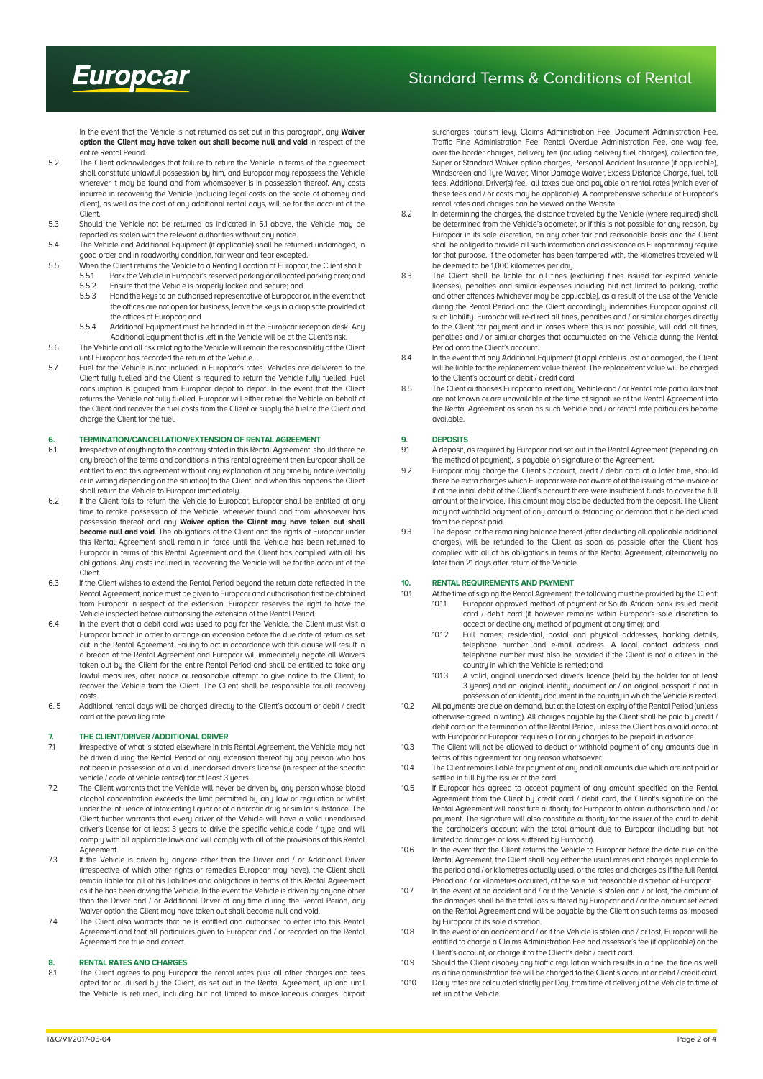In the event that the Vehicle is not returned as set out in this paragraph, any **Waiver option the Client may have taken out shall become null and void** in respect of the entire Rental Period.

- 5.2 The Client acknowledges that failure to return the Vehicle in terms of the agreement shall constitute unlawful possession by him, and Europcar may repossess the Vehicle wherever it may be found and from whomsoever is in possession thereof. Any costs incurred in recovering the Vehicle (including legal costs on the scale of attorney and client), as well as the cost of any additional rental days, will be for the account of the Client.
- 5.3 Should the Vehicle not be returned as indicated in 5.1 above, the Vehicle may be reported as stolen with the relevant authorities without any notice.
- 5.4 The Vehicle and Additional Equipment (if applicable) shall be returned undamaged, in good order and in roadworthy condition, fair wear and tear excepted.
- 5.5 When the Client returns the Vehicle to a Renting Location of Europcar, the Client shall: 5.5.1 Park the Vehicle in Europcar's reserved parking or allocated parking area; and
	- 5.5.2 Ensure that the Vehicle is properly locked and secure; and<br>5.5.3 Hand the keus to an authorised representative of Europcar 5.5.3 Hand the keys to an authorised representative of Europcar or, in the event that
		- the offices are not open for business, leave the keys in a drop safe provided at the offices of Europcar; and
	- 5.5.4 Additional Equipment must be handed in at the Europcar reception desk. Any Additional Equipment that is left in the Vehicle will be at the Client's risk.
- 5.6 The Vehicle and all risk relating to the Vehicle will remain the responsibility of the Client until Europcar has recorded the return of the Vehicle.
- 5.7 Fuel for the Vehicle is not included in Europcar's rates. Vehicles are delivered to the Client fully fuelled and the Client is required to return the Vehicle fully fuelled. Fuel consumption is gauged from Europcar depot to depot. In the event that the Client returns the Vehicle not fully fuelled, Europcar will either refuel the Vehicle on behalf of the Client and recover the fuel costs from the Client or supply the fuel to the Client and charge the Client for the fuel.

# **6. TERMINATION/CANCELLATION/EXTENSION OF RENTAL AGREEMENT**<br>61 Irrespective of anuthing to the contrary stated in this Rental Agreement sh

- Irrespective of anything to the contrary stated in this Rental Agreement, should there be any breach of the terms and conditions in this rental agreement then Europcar shall be entitled to end this agreement without any explanation at any time by notice (verbally or in writing depending on the situation) to the Client, and when this happens the Client shall return the Vehicle to Europcar immediately.
- 6.2 If the Client fails to return the Vehicle to Europcar, Europcar shall be entitled at any time to retake possession of the Vehicle, wherever found and from whosoever has possession thereof and any **Waiver option the Client may have taken out shall become null and void**. The obligations of the Client and the rights of Europcar under this Rental Agreement shall remain in force until the Vehicle has been returned to Europcar in terms of this Rental Agreement and the Client has complied with all his obligations. Any costs incurred in recovering the Vehicle will be for the account of the Client.
- 6.3 If the Client wishes to extend the Rental Period beyond the return date reflected in the Rental Agreement, notice must be given to Europcar and authorisation first be obtained from Europcar in respect of the extension. Europcar reserves the right to have the Vehicle inspected before authorising the extension of the Rental Period.
- 6.4 In the event that a debit card was used to pay for the Vehicle, the Client must visit a Europcar branch in order to arrange an extension before the due date of return as set out in the Rental Agreement. Failing to act in accordance with this clause will result in a breach of the Rental Agreement and Europcar will immediately negate all Waivers taken out by the Client for the entire Rental Period and shall be entitled to take any lawful measures, after notice or reasonable attempt to give notice to the Client, to recover the Vehicle from the Client. The Client shall be responsible for all recovery costs.
- 6. 5 Additional rental days will be charged directly to the Client's account or debit / credit card at the prevailing rate.

### **7. THE CLIENT/DRIVER /ADDITIONAL DRIVER**

- 7.1 Irrespective of what is stated elsewhere in this Rental Agreement, the Vehicle may not be driven during the Rental Period or any extension thereof by any person who has not been in possession of a valid unendorsed driver's license (in respect of the specific vehicle / code of vehicle rented) for at least 3 years.
- 7.2 The Client warrants that the Vehicle will never be driven by any person whose blood alcohol concentration exceeds the limit permitted by any law or regulation or whilst under the influence of intoxicating liquor or of a narcotic drug or similar substance. The Client further warrants that every driver of the Vehicle will have a valid unendorsed driver's license for at least 3 years to drive the specific vehicle code / type and will comply with all applicable laws and will comply with all of the provisions of this Rental Agreement.
- 7.3 If the Vehicle is driven by anyone other than the Driver and / or Additional Driver (irrespective of which other rights or remedies Europcar may have), the Client shall remain liable for all of his liabilities and obligations in terms of this Rental Agreement as if he has been driving the Vehicle. In the event the Vehicle is driven by anyone other than the Driver and / or Additional Driver at any time during the Rental Period, any Waiver option the Client may have taken out shall become null and void.
- 7.4 The Client also warrants that he is entitled and authorised to enter into this Rental Agreement and that all particulars given to Europcar and / or recorded on the Rental Agreement are true and correct.

#### **8. RENTAL RATES AND CHARGES**

8.1 The Client agrees to pay Europcar the rental rates plus all other charges and fees opted for or utilised by the Client, as set out in the Rental Agreement, up and until the Vehicle is returned, including but not limited to miscellaneous charges, airport surcharges, tourism levy, Claims Administration Fee, Document Administration Fee Traffic Fine Administration Fee, Rental Overdue Administration Fee, one way fee, over the border charges, delivery fee (including delivery fuel charges), collection fee, Super or Standard Waiver option charges, Personal Accident Insurance (if applicable), Windscreen and Tyre Waiver, Minor Damage Waiver, Excess Distance Charge, fuel, toll fees, Additional Driver(s) fee, all taxes due and payable on rental rates (which ever of these fees and / or costs may be applicable). A comprehensive schedule of Europcar's rental rates and charges can be viewed on the Website.

- 8.2 In determining the charges, the distance traveled by the Vehicle (where required) shall be determined from the Vehicle's odometer, or if this is not possible for any reason, by Europcar in its sole discretion, on any other fair and reasonable basis and the Client shall be obliged to provide all such information and assistance as Europcar may require for that purpose. If the odometer has been tampered with, the kilometres traveled will be deemed to be 1,000 kilometres per day.
- 8.3 The Client shall be liable for all fines (excluding fines issued for expired vehicle licenses), penalties and similar expenses including but not limited to parking, traffic and other offences (whichever may be applicable), as a result of the use of the Vehicle during the Rental Period and the Client accordingly indemnifies Europcar against all such liability. Europcar will re-direct all fines, penalties and / or similar charges directly to the Client for payment and in cases where this is not possible, will add all fines, penalties and / or similar charges that accumulated on the Vehicle during the Rental Period onto the Client's account.
- 8.4 In the event that any Additional Equipment (if applicable) is lost or damaged, the Client will be liable for the replacement value thereof. The replacement value will be charged to the Client's account or debit / credit card.
- 8.5 The Client authorises Europcar to insert any Vehicle and / or Rental rate particulars that are not known or are unavailable at the time of signature of the Rental Agreement into the Rental Agreement as soon as such Vehicle and / or rental rate particulars become available.

# **9. DEPOSITS**

- 9.1 A deposit, as required by Europcar and set out in the Rental Agreement (depending on the method of payment), is payable on signature of the Agreement.
- 9.2 Europcar may charge the Client's account, credit / debit card at a later time, should there be extra charges which Europcar were not aware of at the issuing of the invoice or if at the initial debit of the Client's account there were insufficient funds to cover the full amount of the invoice. This amount may also be deducted from the deposit. The Client may not withhold payment of any amount outstanding or demand that it be deducted from the deposit paid.
- 9.3 The deposit, or the remaining balance thereof (after deducting all applicable additional charges), will be refunded to the Client as soon as possible after the Client has complied with all of his obligations in terms of the Rental Agreement, alternatively no later than 21 days after return of the Vehicle.

### **10. RENTAL REQUIREMENTS AND PAYMENT**

- At the time of signing the Rental Agreement, the following must be provided by the Client:<br>1011 Europear approved method of payment or South African bank issued credit Europcar approved method of payment or South African bank issued credit card / debit card (it however remains within Europcar's sole discretion to accept or decline any method of payment at any time); and
	- 10.1.2 Full names; residential, postal and physical addresses, banking details, telephone number and e-mail address. A local contact address and telephone number must also be provided if the Client is not a citizen in the country in which the Vehicle is rented; and
- 10.1.3 A valid, original unendorsed driver's licence (held by the holder for at least 3 years) and an original identity document or / an original passport if not in possession of an identity document in the country in which the Vehicle is rented. 10.2 All payments are due on demand, but at the latest on expiru of the Rental Period (unless
- otherwise agreed in writing). All charges payable by the Client shall be paid by credit / debit card on the termination of the Rental Period, unless the Client has a valid account with Europcar or Europcar requires all or any charges to be prepaid in advance.
- 10.3 The Client will not be allowed to deduct or withhold payment of any amounts due in terms of this agreement for any reason whatsoever.
- 10.4 The Client remains liable for payment of any and all amounts due which are not paid or settled in full bu the issuer of the card.
- 10.5 If Europcar has agreed to accept payment of any amount specified on the Rental Agreement from the Client by credit card / debit card, the Client's signature on the Rental Agreement will constitute authority for Europcar to obtain authorisation and / or payment. The signature will also constitute authority for the issuer of the card to debit the cardholder's account with the total amount due to Europcar (including but not limited to damages or loss suffered by Europcar).
- 10.6 In the event that the Client returns the Vehicle to Europcar before the date due on the Rental Agreement, the Client shall pay either the usual rates and charges applicable to the period and / or kilometres actually used, or the rates and charges as if the full Rental Period and / or kilometres occurred, at the sole but reasonable discretion of Europcar.
- 10.7 In the event of an accident and / or if the Vehicle is stolen and / or lost, the amount of the damages shall be the total loss suffered by Europcar and / or the amount reflected on the Rental Agreement and will be payable by the Client on such terms as imposed by Europcar at its sole discretion.
- 10.8 In the event of an accident and / or if the Vehicle is stolen and / or lost, Europcar will be entitled to charge a Claims Administration Fee and assessor's fee (if applicable) on the Client's account, or charge it to the Client's debit / credit card.
- 10.9 Should the Client disobey any traffic regulation which results in a fine, the fine as well as a fine administration fee will be charged to the Client's account or debit / credit card.
- 10.10 Daily rates are calculated strictly per Day, from time of delivery of the Vehicle to time of return of the Vehicle.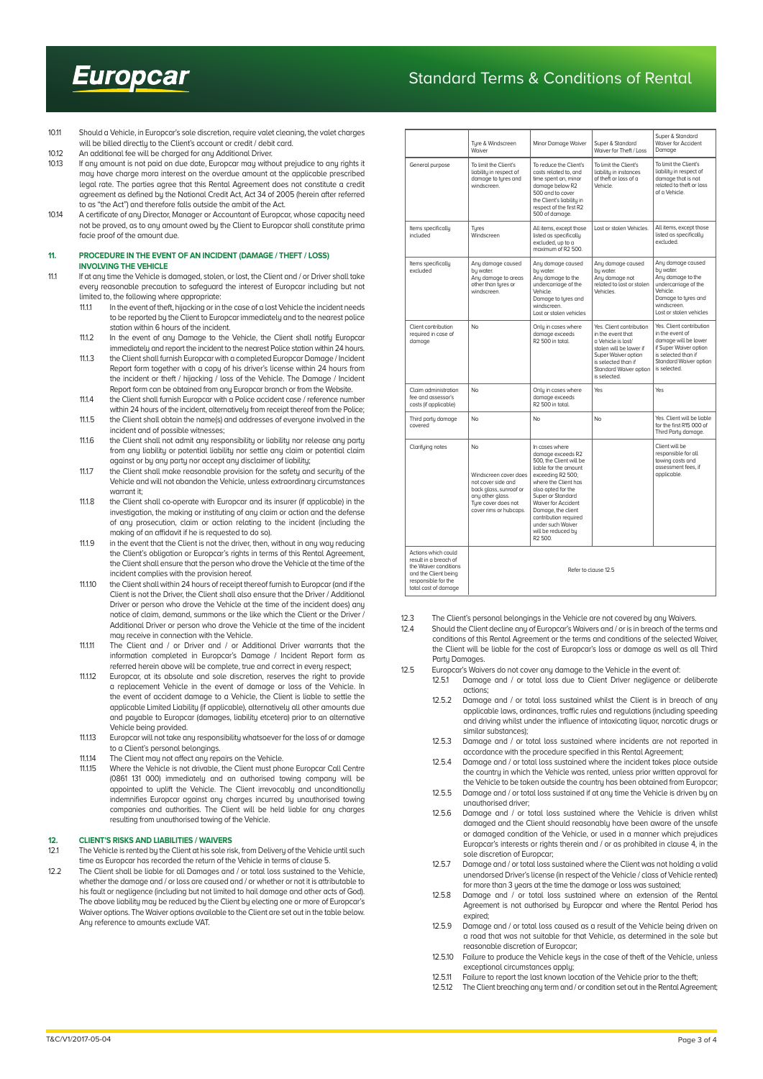

### Standard Terms & Conditions of Rental

- 10.11 Should a Vehicle, in Europcar's sole discretion, require valet cleaning, the valet charges will be billed directly to the Client's account or credit / debit card.
- 10.12 An additional fee will be charged for any Additional Driver.
- 10.13 If any amount is not paid on due date, Europcar may without prejudice to any rights it may have charge mora interest on the overdue amount at the applicable prescribed legal rate. The parties agree that this Rental Agreement does not constitute a credit agreement as defined by the National Credit Act, Act 34 of 2005 (herein after referred to as "the Act") and therefore falls outside the ambit of the Act.
- 10.14 A certificate of any Director, Manager or Accountant of Europcar, whose capacity need not be proved, as to any amount owed by the Client to Europcar shall constitute prima facie proof of the amount due.

#### **11. PROCEDURE IN THE EVENT OF AN INCIDENT (DAMAGE / THEFT / LOSS) INVOLVING THE VEHICLE**

- 11.1 If at any time the Vehicle is damaged, stolen, or lost, the Client and / or Driver shall take every reasonable precaution to safeguard the interest of Europcar including but not limited to, the following where appropriate:
	- 11.1.1 In the event of theft, hijacking or in the case of a lost Vehicle the incident needs to be reported by the Client to Europcar immediately and to the nearest police station within 6 hours of the incident.
	- 11.1.2 In the event of any Damage to the Vehicle, the Client shall notify Europcar immediately and report the incident to the nearest Police station within 24 hours.
	- 11.1.3 the Client shall furnish Europcar with a completed Europcar Damage / Incident Report form together with a copy of his driver's license within 24 hours from the incident or theft / hijacking / loss of the Vehicle. The Damage / Incident Report form can be obtained from any Europcar branch or from the Website.
	- 11.1.4 the Client shall furnish Europcar with a Police accident case / reference number within 24 hours of the incident, alternatively from receipt thereof from the Police; 11.1.5 the Client shall obtain the name(s) and addresses of everyone involved in the
	- incident and of possible witnesses; 11.1.6 the Client shall not admit any responsibility or liability nor release any party
	- from any liability or potential liability nor settle any claim or potential claim against or by any party nor accept any disclaimer of liability;
	- 11.1.7 the Client shall make reasonable provision for the safety and security of the Vehicle and will not abandon the Vehicle, unless extraordinary circumstances warrant it;
	- 11.1.8 the Client shall co-operate with Europcar and its insurer (if applicable) in the investigation, the making or instituting of any claim or action and the defense of any prosecution, claim or action relating to the incident (including the making of an affidavit if he is requested to do so).
	- 11.1.9 in the event that the Client is not the driver, then, without in any way reducing the Client's obligation or Europcar's rights in terms of this Rental Agreement, the Client shall ensure that the person who drove the Vehicle at the time of the incident complies with the provision hereof.
	- 11.10 the Client shall within 24 hours of receipt thereof furnish to Europcar (and if the Client is not the Driver, the Client shall also ensure that the Driver / Additional Driver or person who drove the Vehicle at the time of the incident does) any notice of claim, demand, summons or the like which the Client or the Driver / Additional Driver or person who drove the Vehicle at the time of the incident may receive in connection with the Vehicle.
	- 11.1.11 The Client and / or Driver and / or Additional Driver warrants that the information completed in Europcar's Damage / Incident Report form as referred herein above will be complete, true and correct in every respect;
	- 11.1.12 Europcar, at its absolute and sole discretion, reserves the right to provide a replacement Vehicle in the event of damage or loss of the Vehicle. In the event of accident damage to a Vehicle, the Client is liable to settle the applicable Limited Liability (if applicable), alternatively all other amounts due and payable to Europcar (damages, liability etcetera) prior to an alternative Vehicle being provided.
	- 11.1.13 Europcar will not take any responsibility whatsoever for the loss of or damage to a Client's personal belongings.
	- 11.1.14 The Client may not affect any repairs on the Vehicle.
	- 11.1.15 Where the Vehicle is not drivable, the Client must phone Europcar Call Centre (0861 131 000) immediately and an authorised towing company will be appointed to uplift the Vehicle. The Client irrevocably and unconditionally indemnifies Europcar against any charges incurred by unauthorised towing companies and authorities. The Client will be held liable for any charges resulting from unauthorised towing of the Vehicle.

### **12. CLIENT'S RISKS AND LIABILITIES / WAIVERS**

- 12.1 The Vehicle is rented by the Client at his sole risk, from Delivery of the Vehicle until such time as Europcar has recorded the return of the Vehicle in terms of clause 5.
- 12.2 The Client shall be liable for all Damages and / or total loss sustained to the Vehicle, whether the damage and / or loss are caused and / or whether or not it is attributable to his fault or negligence (including but not limited to hail damage and other acts of God). The above liability may be reduced by the Client by electing one or more of Europcar's Waiver options. The Waiver options available to the Client are set out in the table below. Any reference to amounts exclude VAT.

|                                                                                                                                              | Ture & Windscreen<br>Waiver                                                                                                                      | Minor Damage Waiver                                                                                                                                                                                                                                                                                         | Super & Standard<br>Waiver for Theft / Loss                                                                                                                                            | Super & Standard<br>Waiver for Accident<br>Damage                                                                                                              |
|----------------------------------------------------------------------------------------------------------------------------------------------|--------------------------------------------------------------------------------------------------------------------------------------------------|-------------------------------------------------------------------------------------------------------------------------------------------------------------------------------------------------------------------------------------------------------------------------------------------------------------|----------------------------------------------------------------------------------------------------------------------------------------------------------------------------------------|----------------------------------------------------------------------------------------------------------------------------------------------------------------|
| General purpose                                                                                                                              | To limit the Client's<br>liability in respect of<br>damage to tyres and<br>windscreen.                                                           | To reduce the Client's<br>costs related to, and<br>time spent on, minor<br>damage below R2<br>500 and to cover<br>the Client's liabilitu in<br>respect of the first R2<br>500 of damage.                                                                                                                    | To limit the Client's<br>liabilitu in instances<br>of theft or loss of a<br>Vehicle.                                                                                                   | To limit the Client's<br>liability in respect of<br>damage that is not<br>related to theft or loss<br>of a Vehicle.                                            |
| Items specifically<br>included                                                                                                               | Tures<br>Windscreen                                                                                                                              | All items, except those<br>listed as specificallu<br>excluded, up to a<br>maximum of R2 500.                                                                                                                                                                                                                | Lost or stolen Vehicles.                                                                                                                                                               | All items, except those<br>listed as specifically<br>excluded.                                                                                                 |
| Items specifically<br>excluded                                                                                                               | Any damage caused<br>by water.<br>Any damage to areas<br>other than tyres or<br>windscreen.                                                      | Any damage caused<br>by water.<br>Anu damage to the<br>undercarriage of the<br>Vehicle.<br>Damage to tyres and<br>windscreen.<br>Lost or stolen vehicles                                                                                                                                                    | Any damage caused<br>by water.<br>Anu damage not<br>related to lost or stolen<br>Vehicles.                                                                                             | Any damage caused<br>by water.<br>Any damage to the<br>undercarriage of the<br>Vehicle.<br>Damage to tyres and<br>windscreen.<br>Lost or stolen vehicles       |
| Client contribution<br>reauired in case of<br>damage                                                                                         | No                                                                                                                                               | Only in cases where<br>damage exceeds<br>R2 500 in total.                                                                                                                                                                                                                                                   | Yes. Client contribution<br>in the event that<br>a Vehicle is lost/<br>stolen will be lower if<br>Super Waiver option<br>is selected than if<br>Standard Waiver option<br>is selected. | Yes. Client contribution<br>in the event of<br>damage will be lower<br>if Super Waiver option<br>is selected than if<br>Standard Waiver option<br>is selected. |
| Claim administration<br>fee and assessor's<br>costs (if applicable)                                                                          | No                                                                                                                                               | Onlu in cases where<br>damage exceeds<br>R2 500 in total.                                                                                                                                                                                                                                                   | Yes                                                                                                                                                                                    | Yes                                                                                                                                                            |
| Third party damage<br>covered                                                                                                                | No                                                                                                                                               | No                                                                                                                                                                                                                                                                                                          | N <sub>o</sub>                                                                                                                                                                         | Yes. Client will be liable<br>for the first R15 000 of<br>Third Party damage.                                                                                  |
| Clarifying notes                                                                                                                             | No<br>Windscreen cover does<br>not cover side and<br>back glass, sunroof or<br>any other glass.<br>Ture cover does not<br>cover rims or hubcaps. | In cases where<br>damage exceeds R2<br>500, the Client will be<br>liable for the amount<br>exceeding R2 500;<br>where the Client has<br>also opted for the<br>Super or Standard<br>Waiver for Accident<br>Damage, the client<br>contribution required<br>under such Waiver<br>will be reduced by<br>R2 500. |                                                                                                                                                                                        | Client will be<br>responsible for all<br>towing costs and<br>assessment fees. if<br>applicable.                                                                |
| Actions which could<br>result in a breach of<br>the Waiver conditions<br>and the Client being<br>responsible for the<br>total cost of damage | Refer to clause 12.5                                                                                                                             |                                                                                                                                                                                                                                                                                                             |                                                                                                                                                                                        |                                                                                                                                                                |

- 12.3 The Client's personal belongings in the Vehicle are not covered by any Waivers.
- 12.4 Should the Client decline any of Europcar's Waivers and / or is in breach of the terms and conditions of this Rental Agreement or the terms and conditions of the selected Waiver, the Client will be liable for the cost of Europcar's loss or damage as well as all Third Party Damages
- 12.5 Europcar's Waivers do not cover any damage to the Vehicle in the event of:<br>12.51 Damage and / or total loss due to Client Driver nealigence or
	- Damage and / or total loss due to Client Driver negligence or deliberate actions;
		- 12.5.2 Damage and / or total loss sustained whilst the Client is in breach of any applicable laws, ordinances, traffic rules and regulations (including speeding and driving whilst under the influence of intoxicating liquor, narcotic drugs or similar substances);
		- 12.5.3 Damage and / or total loss sustained where incidents are not reported in accordance with the procedure specified in this Rental Agreement;
		- 12.5.4 Damage and / or total loss sustained where the incident takes place outside the country in which the Vehicle was rented, unless prior written approval for the Vehicle to be taken outside the country has been obtained from Europcar;
		- 12.5.5 Damage and / or total loss sustained if at any time the Vehicle is driven by an unauthorised driver;
		- 12.5.6 Damage and / or total loss sustained where the Vehicle is driven whilst damaged and the Client should reasonably have been aware of the unsafe or damaged condition of the Vehicle, or used in a manner which prejudices Europcar's interests or rights therein and / or as prohibited in clause 4, in the sole discretion of Europcar;
		- 12.5.7 Damage and / or total loss sustained where the Client was not holding a valid unendorsed Driver's license (in respect of the Vehicle / class of Vehicle rented) for more than 3 years at the time the damage or loss was sustained;
		- 12.5.8 Damage and / or total loss sustained where an extension of the Rental Agreement is not authorised by Europcar and where the Rental Period has expired;
		- 12.5.9 Damage and / or total loss caused as a result of the Vehicle being driven on a road that was not suitable for that Vehicle, as determined in the sole but reasonable discretion of Europcar;
		- 12.5.10 Failure to produce the Vehicle keys in the case of theft of the Vehicle, unless exceptional circumstances apply;
		- 12.5.11 Failure to report the last known location of the Vehicle prior to the theft;
		- 12.5.12 The Client breaching any term and / or condition set out in the Rental Agreement;